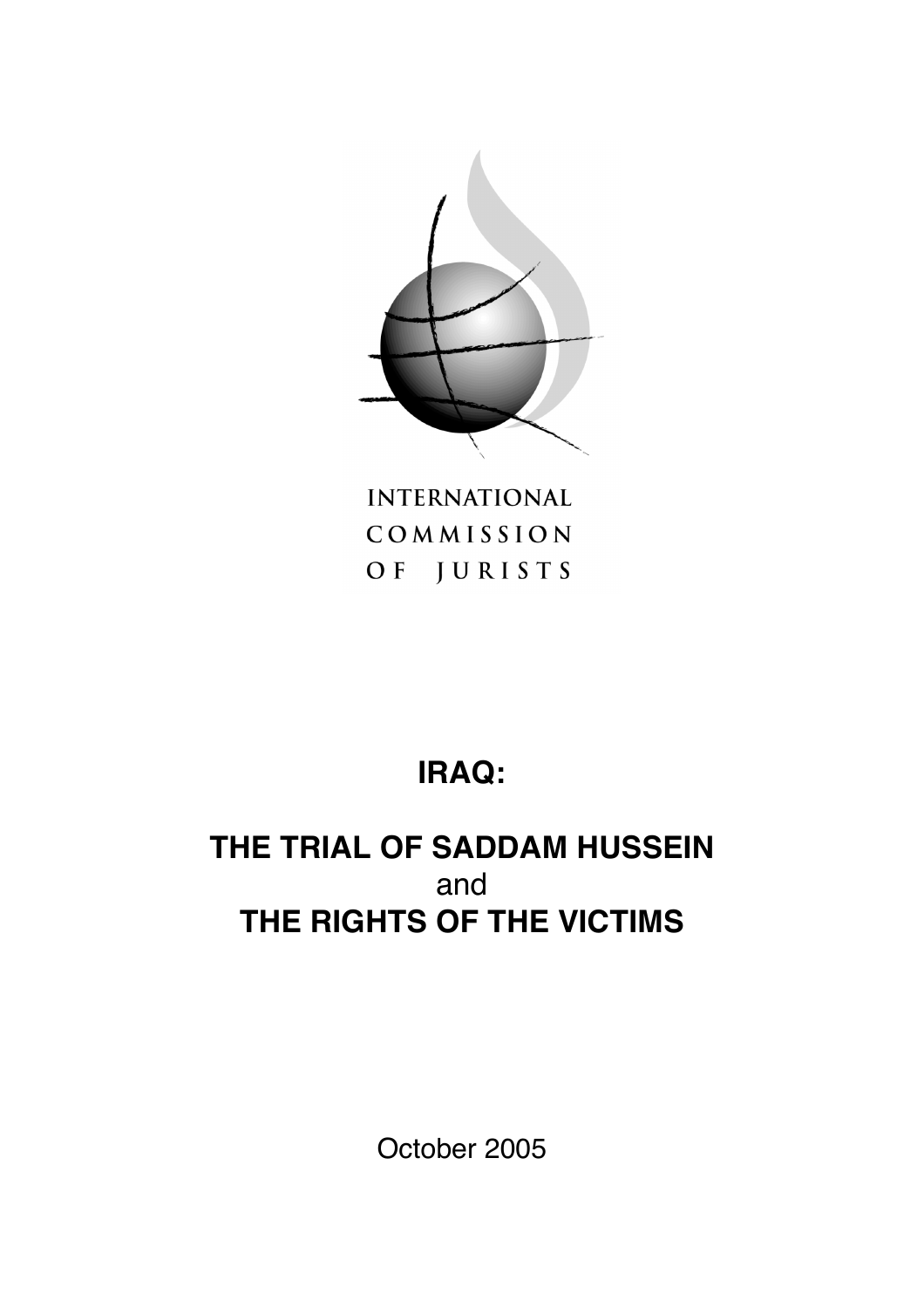

**INTERNATIONAL** COMMISSION OF JURISTS

# **IRAQ:**

## **THE TRIAL OF SADDAM HUSSEIN** and **THE RIGHTS OF THE VICTIMS**

October 2005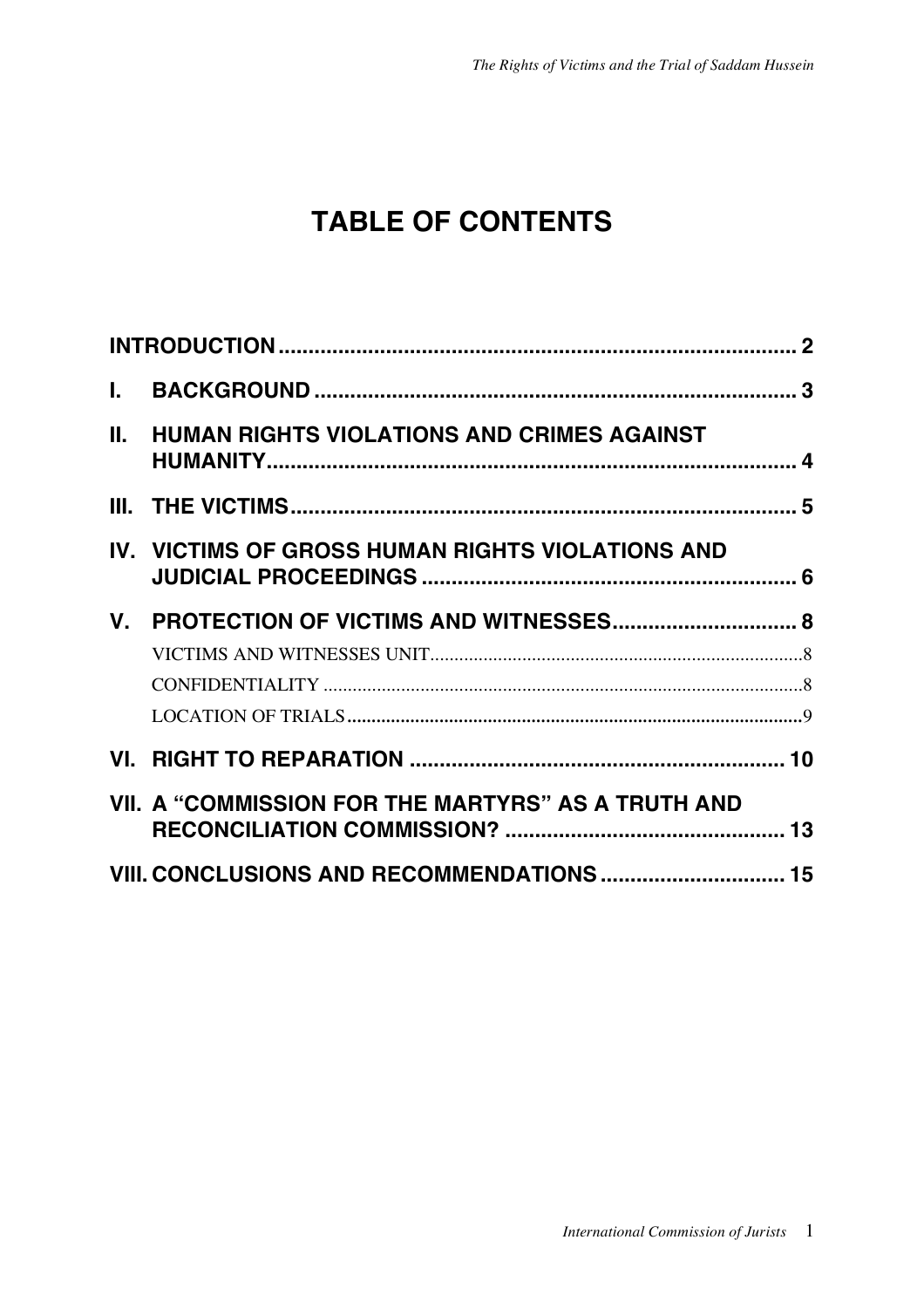## **TABLE OF CONTENTS**

| L.      |                                                    |  |
|---------|----------------------------------------------------|--|
| Ш.      | <b>HUMAN RIGHTS VIOLATIONS AND CRIMES AGAINST</b>  |  |
|         |                                                    |  |
|         | IV. VICTIMS OF GROSS HUMAN RIGHTS VIOLATIONS AND   |  |
| $V_{-}$ |                                                    |  |
|         |                                                    |  |
|         |                                                    |  |
|         |                                                    |  |
|         |                                                    |  |
|         | VII. A "COMMISSION FOR THE MARTYRS" AS A TRUTH AND |  |
|         | VIII. CONCLUSIONS AND RECOMMENDATIONS  15          |  |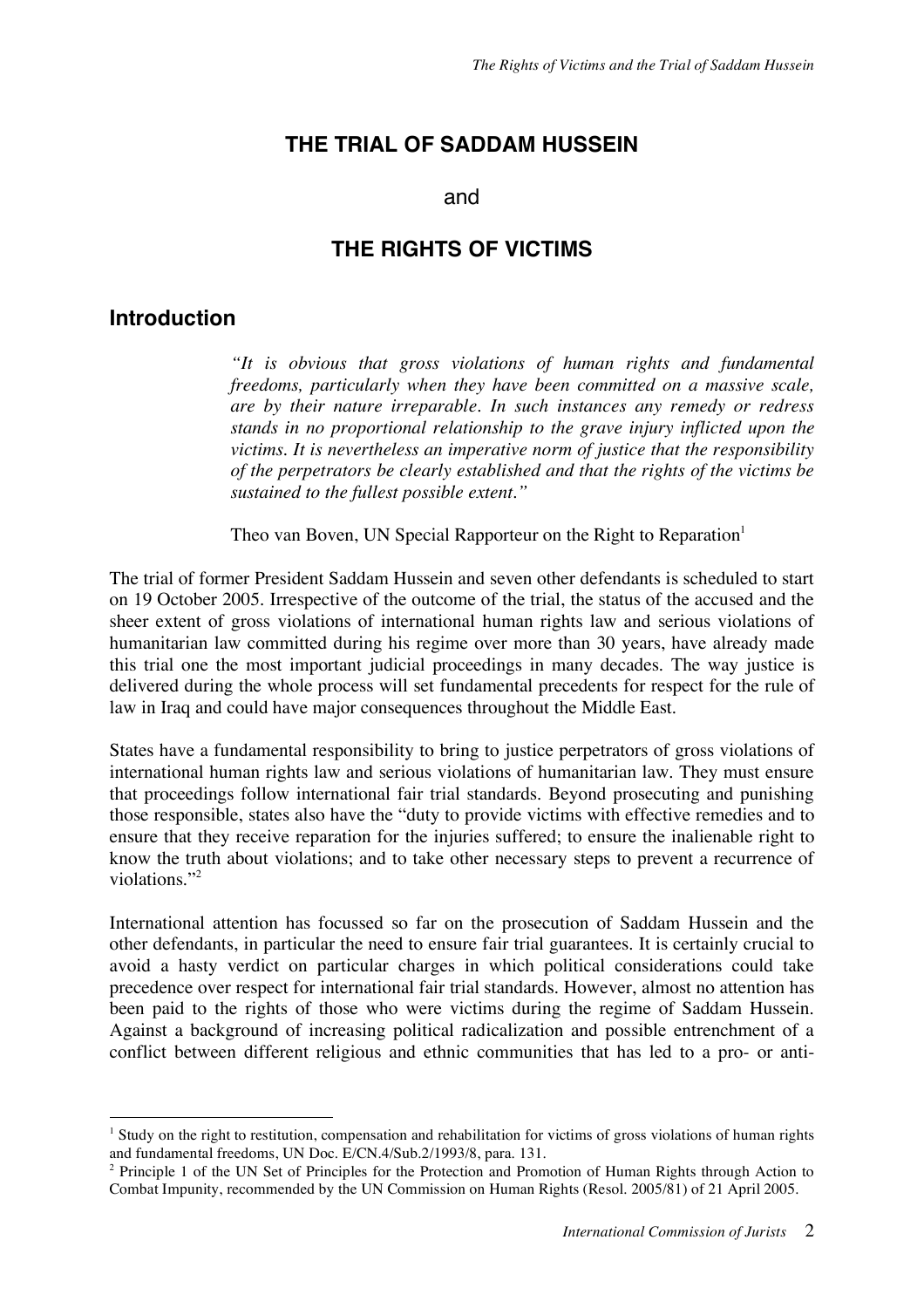## **THE TRIAL OF SADDAM HUSSEIN**

#### and

### **THE RIGHTS OF VICTIMS**

### **Introduction**

*"It is obvious that gross violations of human rights and fundamental freedoms, particularly when they have been committed on a massive scale, are by their nature irreparable. In such instances any remedy or redress stands in no proportional relationship to the grave injury inflicted upon the victims. It is nevertheless an imperative norm of justice that the responsibility of the perpetrators be clearly established and that the rights of the victims be sustained to the fullest possible extent."*

Theo van Boven, UN Special Rapporteur on the Right to Reparation<sup>1</sup>

The trial of former President Saddam Hussein and seven other defendants is scheduled to start on 19 October 2005. Irrespective of the outcome of the trial, the status of the accused and the sheer extent of gross violations of international human rights law and serious violations of humanitarian law committed during his regime over more than 30 years, have already made this trial one the most important judicial proceedings in many decades. The way justice is delivered during the whole process will set fundamental precedents for respect for the rule of law in Iraq and could have major consequences throughout the Middle East.

States have a fundamental responsibility to bring to justice perpetrators of gross violations of international human rights law and serious violations of humanitarian law. They must ensure that proceedings follow international fair trial standards. Beyond prosecuting and punishing those responsible, states also have the "duty to provide victims with effective remedies and to ensure that they receive reparation for the injuries suffered; to ensure the inalienable right to know the truth about violations; and to take other necessary steps to prevent a recurrence of violations."2

International attention has focussed so far on the prosecution of Saddam Hussein and the other defendants, in particular the need to ensure fair trial guarantees. It is certainly crucial to avoid a hasty verdict on particular charges in which political considerations could take precedence over respect for international fair trial standards. However, almost no attention has been paid to the rights of those who were victims during the regime of Saddam Hussein. Against a background of increasing political radicalization and possible entrenchment of a conflict between different religious and ethnic communities that has led to a pro- or anti-

<sup>&</sup>lt;sup>1</sup> Study on the right to restitution, compensation and rehabilitation for victims of gross violations of human rights and fundamental freedoms, UN Doc. E/CN.4/Sub.2/1993/8, para. 131.

<sup>2</sup> Principle 1 of the UN Set of Principles for the Protection and Promotion of Human Rights through Action to Combat Impunity, recommended by the UN Commission on Human Rights (Resol. 2005/81) of 21 April 2005.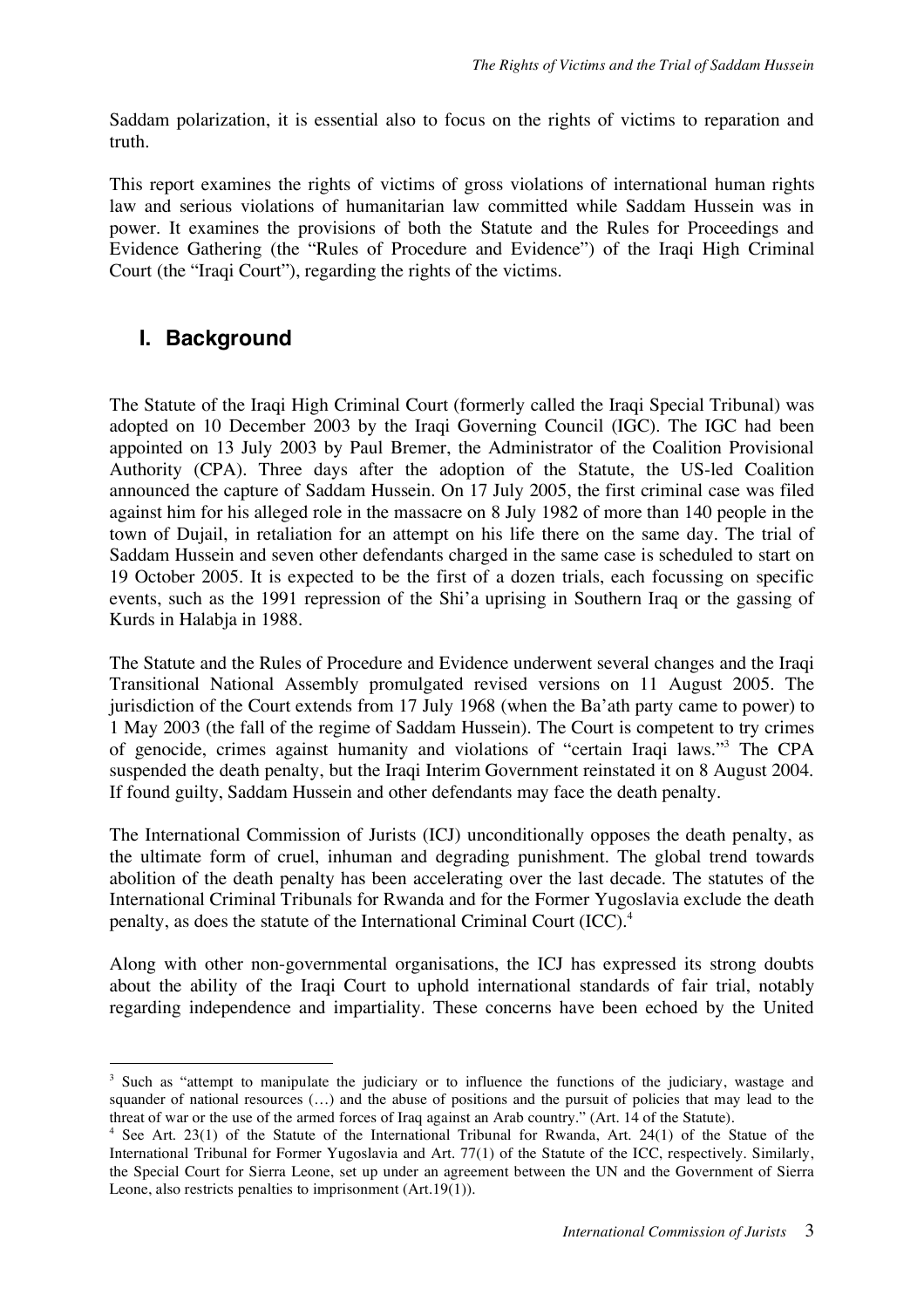Saddam polarization, it is essential also to focus on the rights of victims to reparation and truth.

This report examines the rights of victims of gross violations of international human rights law and serious violations of humanitarian law committed while Saddam Hussein was in power. It examines the provisions of both the Statute and the Rules for Proceedings and Evidence Gathering (the "Rules of Procedure and Evidence") of the Iraqi High Criminal Court (the "Iraqi Court"), regarding the rights of the victims.

## **I. Background**

The Statute of the Iraqi High Criminal Court (formerly called the Iraqi Special Tribunal) was adopted on 10 December 2003 by the Iraqi Governing Council (IGC). The IGC had been appointed on 13 July 2003 by Paul Bremer, the Administrator of the Coalition Provisional Authority (CPA). Three days after the adoption of the Statute, the US-led Coalition announced the capture of Saddam Hussein. On 17 July 2005, the first criminal case was filed against him for his alleged role in the massacre on 8 July 1982 of more than 140 people in the town of Dujail, in retaliation for an attempt on his life there on the same day. The trial of Saddam Hussein and seven other defendants charged in the same case is scheduled to start on 19 October 2005. It is expected to be the first of a dozen trials, each focussing on specific events, such as the 1991 repression of the Shi'a uprising in Southern Iraq or the gassing of Kurds in Halabja in 1988.

The Statute and the Rules of Procedure and Evidence underwent several changes and the Iraqi Transitional National Assembly promulgated revised versions on 11 August 2005. The jurisdiction of the Court extends from 17 July 1968 (when the Ba'ath party came to power) to 1 May 2003 (the fall of the regime of Saddam Hussein). The Court is competent to try crimes of genocide, crimes against humanity and violations of "certain Iraqi laws."3 The CPA suspended the death penalty, but the Iraqi Interim Government reinstated it on 8 August 2004. If found guilty, Saddam Hussein and other defendants may face the death penalty.

The International Commission of Jurists (ICJ) unconditionally opposes the death penalty, as the ultimate form of cruel, inhuman and degrading punishment. The global trend towards abolition of the death penalty has been accelerating over the last decade. The statutes of the International Criminal Tribunals for Rwanda and for the Former Yugoslavia exclude the death penalty, as does the statute of the International Criminal Court (ICC). 4

Along with other non-governmental organisations, the ICJ has expressed its strong doubts about the ability of the Iraqi Court to uphold international standards of fair trial, notably regarding independence and impartiality. These concerns have been echoed by the United

<sup>&</sup>lt;sup>3</sup> Such as "attempt to manipulate the judiciary or to influence the functions of the judiciary, wastage and squander of national resources (...) and the abuse of positions and the pursuit of policies that may lead to the threat of war or the use of the armed forces of Iraq against an Arab country." (Art. 14 of the Statute).

<sup>4</sup> See Art. 23(1) of the Statute of the International Tribunal for Rwanda, Art. 24(1) of the Statue of the International Tribunal for Former Yugoslavia and Art. 77(1) of the Statute of the ICC, respectively. Similarly, the Special Court for Sierra Leone, set up under an agreement between the UN and the Government of Sierra Leone, also restricts penalties to imprisonment (Art.19(1)).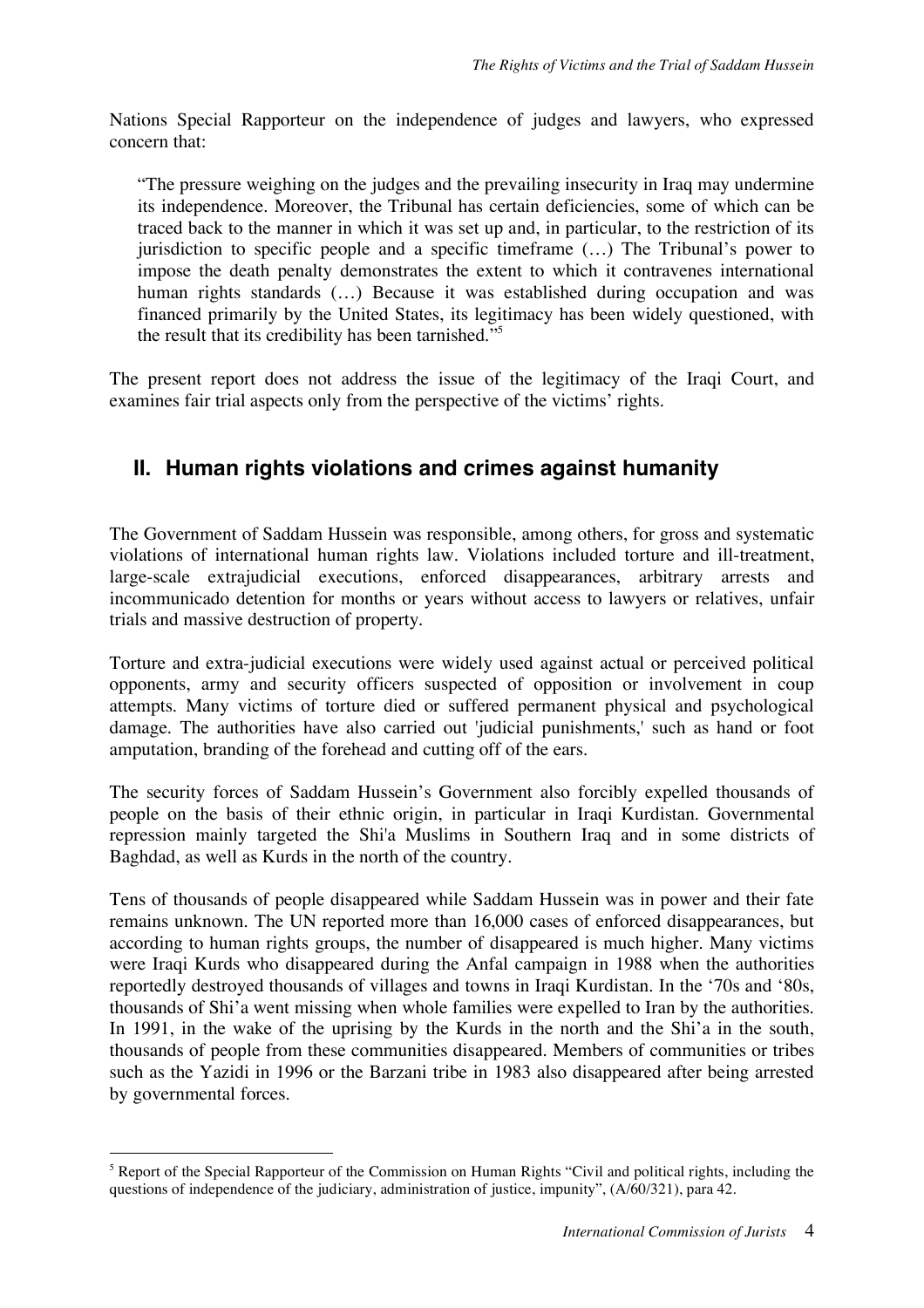Nations Special Rapporteur on the independence of judges and lawyers, who expressed concern that:

"The pressure weighing on the judges and the prevailing insecurity in Iraq may undermine its independence. Moreover, the Tribunal has certain deficiencies, some of which can be traced back to the manner in which it was set up and, in particular, to the restriction of its jurisdiction to specific people and a specific timeframe (…) The Tribunal's power to impose the death penalty demonstrates the extent to which it contravenes international human rights standards (...) Because it was established during occupation and was financed primarily by the United States, its legitimacy has been widely questioned, with the result that its credibility has been tarnished." 5

The present report does not address the issue of the legitimacy of the Iraqi Court, and examines fair trial aspects only from the perspective of the victims' rights.

## **II. Human rights violations and crimes against humanity**

The Government of Saddam Hussein was responsible, among others, for gross and systematic violations of international human rights law. Violations included torture and ill-treatment, large-scale extrajudicial executions, enforced disappearances, arbitrary arrests and incommunicado detention for months or years without access to lawyers or relatives, unfair trials and massive destruction of property.

Torture and extra-judicial executions were widely used against actual or perceived political opponents, army and security officers suspected of opposition or involvement in coup attempts. Many victims of torture died or suffered permanent physical and psychological damage. The authorities have also carried out 'judicial punishments,' such as hand or foot amputation, branding of the forehead and cutting off of the ears.

The security forces of Saddam Hussein's Government also forcibly expelled thousands of people on the basis of their ethnic origin, in particular in Iraqi Kurdistan. Governmental repression mainly targeted the Shi'a Muslims in Southern Iraq and in some districts of Baghdad, as well as Kurds in the north of the country.

Tens of thousands of people disappeared while Saddam Hussein was in power and their fate remains unknown. The UN reported more than 16,000 cases of enforced disappearances, but according to human rights groups, the number of disappeared is much higher. Many victims were Iraqi Kurds who disappeared during the Anfal campaign in 1988 when the authorities reportedly destroyed thousands of villages and towns in Iraqi Kurdistan. In the '70s and '80s, thousands of Shi'a went missing when whole families were expelled to Iran by the authorities. In 1991, in the wake of the uprising by the Kurds in the north and the Shi'a in the south. thousands of people from these communities disappeared. Members of communities or tribes such as the Yazidi in 1996 or the Barzani tribe in 1983 also disappeared after being arrested by governmental forces.

<sup>&</sup>lt;sup>5</sup> Report of the Special Rapporteur of the Commission on Human Rights "Civil and political rights, including the questions of independence of the judiciary, administration of justice, impunity", (A/60/321), para 42.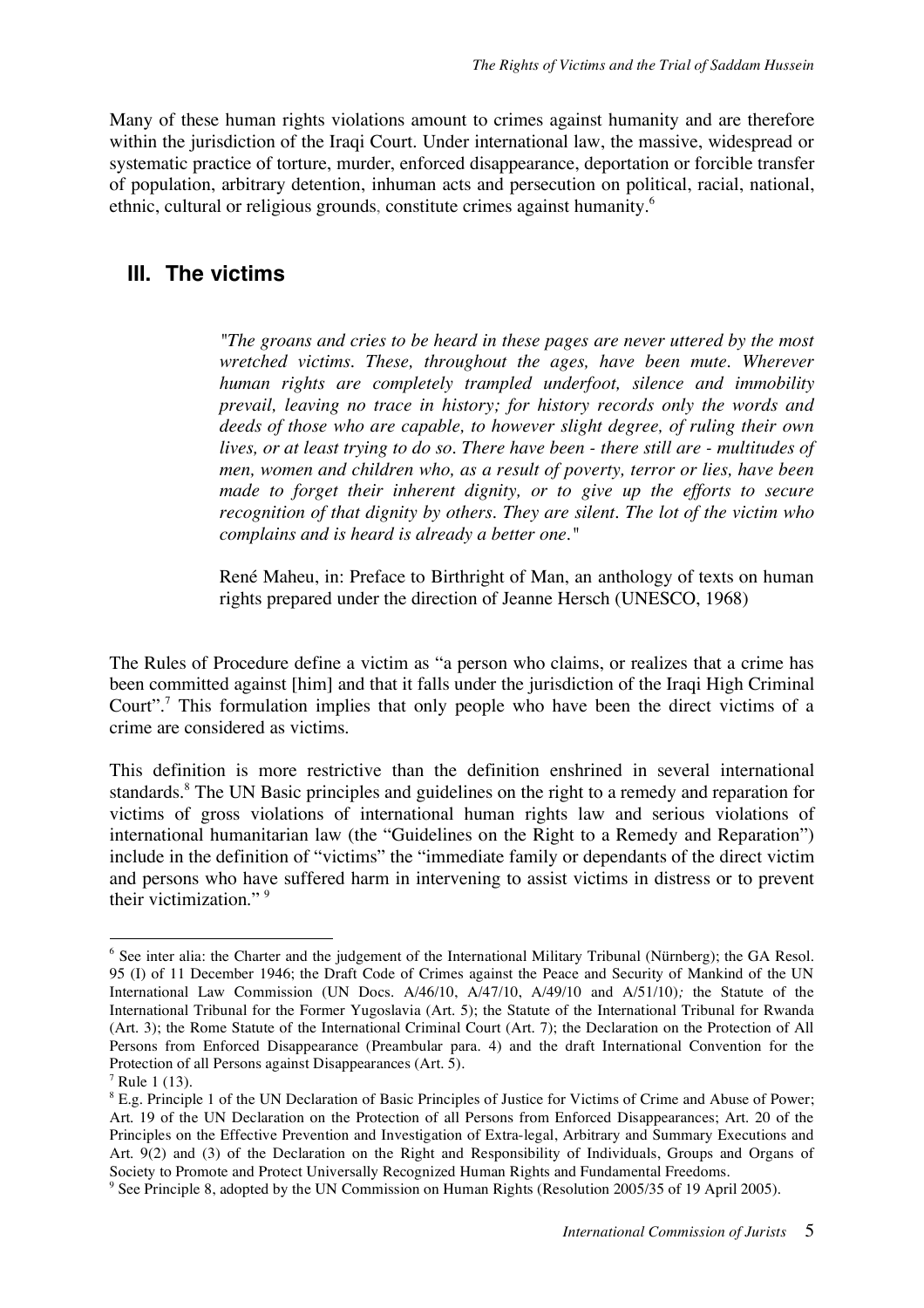Many of these human rights violations amount to crimes against humanity and are therefore within the jurisdiction of the Iraqi Court. Under international law, the massive, widespread or systematic practice of torture, murder, enforced disappearance, deportation or forcible transfer of population, arbitrary detention, inhuman acts and persecution on political, racial, national, ethnic, cultural or religious grounds, constitute crimes against humanity.<sup>6</sup>

#### **III. The victims**

*"The groans and cries to be heard in these pages are never uttered by the most wretched victims. These, throughout the ages, have been mute. Wherever human rights are completely trampled underfoot, silence and immobility prevail, leaving no trace in history; for history records only the words and deeds of those who are capable, to however slight degree, of ruling their own lives, or at least trying to do so. There have been - there still are - multitudes of men, women and children who, as a result of poverty, terror or lies, have been made to forget their inherent dignity, or to give up the efforts to secure recognition of that dignity by others. They are silent. The lot of the victim who complains and is heard is already a better one."*

René Maheu, in: Preface to Birthright of Man, an anthology of texts on human rights prepared under the direction of Jeanne Hersch (UNESCO, 1968)

The Rules of Procedure define a victim as "a person who claims, or realizes that a crime has been committed against [him] and that it falls under the jurisdiction of the Iraqi High Criminal Court".<sup>7</sup> This formulation implies that only people who have been the direct victims of a crime are considered as victims.

This definition is more restrictive than the definition enshrined in several international standards. <sup>8</sup> The UN Basic principles and guidelines on the right to a remedy and reparation for victims of gross violations of international human rights law and serious violations of international humanitarian law (the "Guidelines on the Right to a Remedy and Reparation") include in the definition of "victims" the "immediate family or dependants of the direct victim and persons who have suffered harm in intervening to assist victims in distress or to prevent their victimization." <sup>9</sup>

 <sup>6</sup> See inter alia: the Charter and the judgement of the International Military Tribunal (Nürnberg); the GA Resol. 95 (I) of 11 December 1946; the Draft Code of Crimes against the Peace and Security of Mankind of the UN International Law Commission (UN Docs. A/46/10, A/47/10, A/49/10 and A/51/10)*;* the Statute of the International Tribunal for the Former Yugoslavia (Art. 5); the Statute of the International Tribunal for Rwanda (Art. 3); the Rome Statute of the International Criminal Court (Art. 7); the Declaration on the Protection of All Persons from Enforced Disappearance (Preambular para. 4) and the draft International Convention for the Protection of all Persons against Disappearances (Art. 5).

 $7$  Rule 1 (13).

<sup>&</sup>lt;sup>8</sup> E.g. Principle 1 of the UN Declaration of Basic Principles of Justice for Victims of Crime and Abuse of Power; Art. 19 of the UN Declaration on the Protection of all Persons from Enforced Disappearances; Art. 20 of the Principles on the Effective Prevention and Investigation of Extra-legal, Arbitrary and Summary Executions and Art. 9(2) and (3) of the Declaration on the Right and Responsibility of Individuals, Groups and Organs of Society to Promote and Protect Universally Recognized Human Rights and Fundamental Freedoms.

<sup>9</sup> See Principle 8, adopted by the UN Commission on Human Rights (Resolution 2005/35 of 19 April 2005).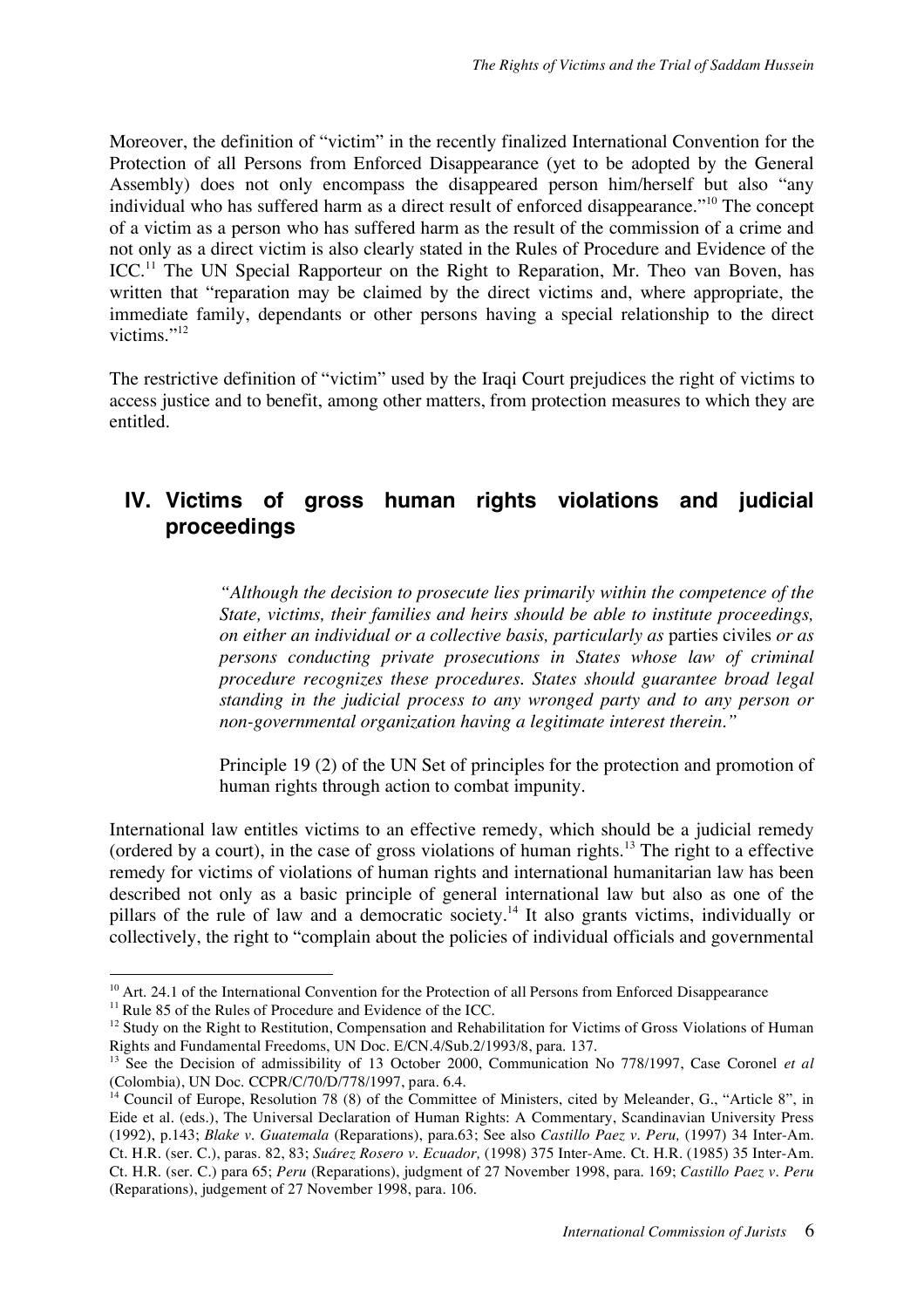Moreover, the definition of "victim" in the recently finalized International Convention for the Protection of all Persons from Enforced Disappearance (yet to be adopted by the General Assembly) does not only encompass the disappeared person him/herself but also "any individual who has suffered harm as a direct result of enforced disappearance."<sup>10</sup> The concept of a victim as a person who has suffered harm as the result of the commission of a crime and not only as a direct victim is also clearly stated in the Rules of Procedure and Evidence of the ICC.<sup>11</sup> The UN Special Rapporteur on the Right to Reparation, Mr. Theo van Boven, has written that "reparation may be claimed by the direct victims and, where appropriate, the immediate family, dependants or other persons having a special relationship to the direct victims."<sup>12</sup>

The restrictive definition of "victim" used by the Iraqi Court prejudices the right of victims to access justice and to benefit, among other matters, from protection measures to which they are entitled.

## **IV. Victims of gross human rights violations and judicial proceedings**

*"Although the decision to prosecute lies primarily within the competence of the State, victims, their families and heirs should be able to institute proceedings, on either an individual or a collective basis, particularly as* parties civiles *or as persons conducting private prosecutions in States whose law of criminal procedure recognizes these procedures. States should guarantee broad legal standing in the judicial process to any wronged party and to any person or non-governmental organization having a legitimate interest therein."*

Principle 19 (2) of the UN Set of principles for the protection and promotion of human rights through action to combat impunity.

International law entitles victims to an effective remedy, which should be a judicial remedy (ordered by a court), in the case of gross violations of human rights.<sup>13</sup> The right to a effective remedy for victims of violations of human rights and international humanitarian law has been described not only as a basic principle of general international law but also as one of the pillars of the rule of law and a democratic society.<sup>14</sup> It also grants victims, individually or collectively, the right to "complain about the policies of individual officials and governmental

<sup>&</sup>lt;sup>10</sup> Art. 24.1 of the International Convention for the Protection of all Persons from Enforced Disappearance

<sup>&</sup>lt;sup>11</sup> Rule 85 of the Rules of Procedure and Evidence of the ICC.

<sup>&</sup>lt;sup>12</sup> Study on the Right to Restitution, Compensation and Rehabilitation for Victims of Gross Violations of Human Rights and Fundamental Freedoms, UN Doc. E/CN.4/Sub.2/1993/8, para. 137.

<sup>13</sup> See the Decision of admissibility of 13 October 2000, Communication No 778/1997, Case Coronel *et al* (Colombia), UN Doc. CCPR/C/70/D/778/1997, para. 6.4.

 $14$  Council of Europe, Resolution 78 (8) of the Committee of Ministers, cited by Meleander, G., "Article 8", in Eide et al. (eds.), The Universal Declaration of Human Rights: A Commentary, Scandinavian University Press (1992), p.143; *Blake v. Guatemala* (Reparations), para.63; See also *Castillo Paez v. Peru,* (1997) 34 Inter-Am. Ct. H.R. (ser. C.), paras. 82, 83; *Suárez Rosero v. Ecuador,* (1998) 375 Inter-Ame. Ct. H.R. (1985) 35 Inter-Am. Ct. H.R. (ser. C.) para 65; *Peru* (Reparations), judgment of 27 November 1998, para. 169; *Castillo Paez v. Peru* (Reparations), judgement of 27 November 1998, para. 106.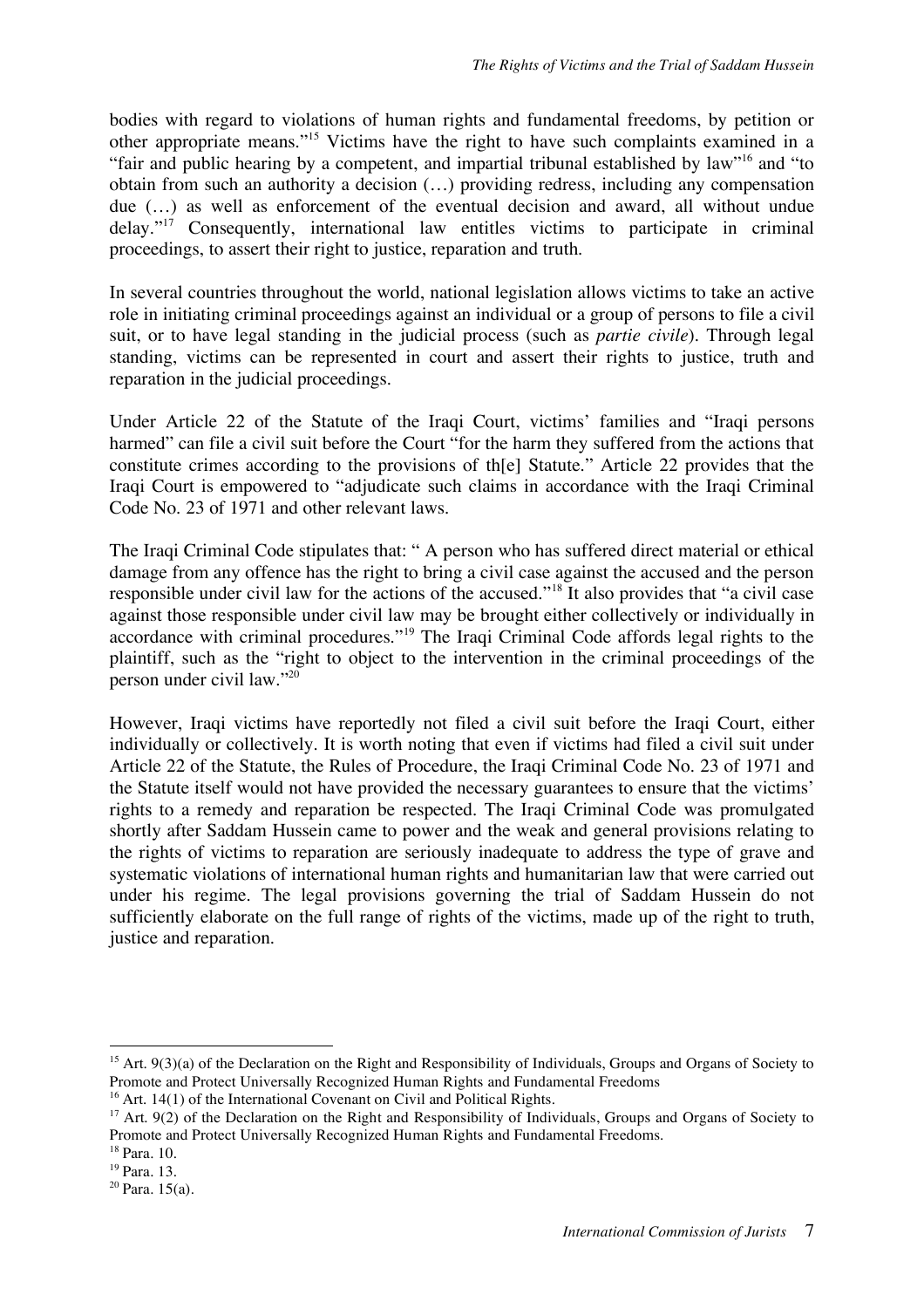bodies with regard to violations of human rights and fundamental freedoms, by petition or other appropriate means."15 Victims have the right to have such complaints examined in a "fair and public hearing by a competent, and impartial tribunal established by law"16 and "to obtain from such an authority a decision (…) providing redress, including any compensation due (…) as well as enforcement of the eventual decision and award, all without undue  $delay.^{"17}$  Consequently, international law entitles victims to participate in criminal proceedings, to assert their right to justice, reparation and truth.

In several countries throughout the world, national legislation allows victims to take an active role in initiating criminal proceedings against an individual or a group of persons to file a civil suit, or to have legal standing in the judicial process (such as *partie civile*). Through legal standing, victims can be represented in court and assert their rights to justice, truth and reparation in the judicial proceedings.

Under Article 22 of the Statute of the Iraqi Court, victims' families and "Iraqi persons harmed" can file a civil suit before the Court "for the harm they suffered from the actions that constitute crimes according to the provisions of th[e] Statute." Article 22 provides that the Iraqi Court is empowered to "adjudicate such claims in accordance with the Iraqi Criminal Code No. 23 of 1971 and other relevant laws.

The Iraqi Criminal Code stipulates that: " A person who has suffered direct material or ethical damage from any offence has the right to bring a civil case against the accused and the person responsible under civil law for the actions of the accused."<sup>18</sup> It also provides that "a civil case against those responsible under civil law may be brought either collectively or individually in accordance with criminal procedures."<sup>19</sup> The Iraqi Criminal Code affords legal rights to the plaintiff, such as the "right to object to the intervention in the criminal proceedings of the person under civil law." 20

However, Iraqi victims have reportedly not filed a civil suit before the Iraqi Court, either individually or collectively. It is worth noting that even if victims had filed a civil suit under Article 22 of the Statute, the Rules of Procedure, the Iraqi Criminal Code No. 23 of 1971 and the Statute itself would not have provided the necessary guarantees to ensure that the victims' rights to a remedy and reparation be respected. The Iraqi Criminal Code was promulgated shortly after Saddam Hussein came to power and the weak and general provisions relating to the rights of victims to reparation are seriously inadequate to address the type of grave and systematic violations of international human rights and humanitarian law that were carried out under his regime. The legal provisions governing the trial of Saddam Hussein do not sufficiently elaborate on the full range of rights of the victims, made up of the right to truth, justice and reparation.

 $15$  Art. 9(3)(a) of the Declaration on the Right and Responsibility of Individuals, Groups and Organs of Society to Promote and Protect Universally Recognized Human Rights and Fundamental Freedoms

<sup>&</sup>lt;sup>16</sup> Art. 14(1) of the International Covenant on Civil and Political Rights.

<sup>&</sup>lt;sup>17</sup> Art. 9(2) of the Declaration on the Right and Responsibility of Individuals, Groups and Organs of Society to Promote and Protect Universally Recognized Human Rights and Fundamental Freedoms.

<sup>18</sup> Para. 10.

<sup>19</sup> Para. 13.

 $20$  Para. 15(a).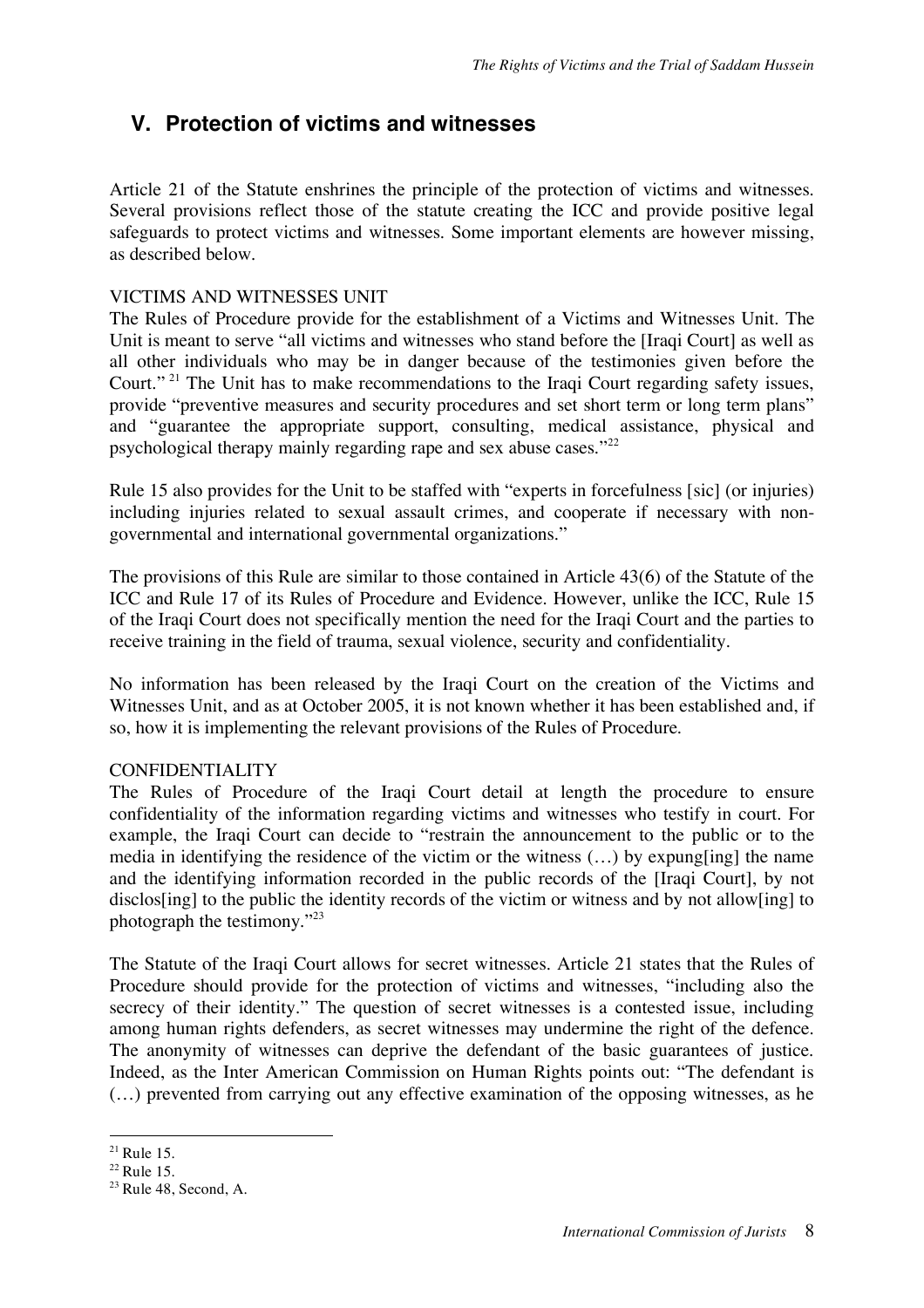## **V. Protection of victims and witnesses**

Article 21 of the Statute enshrines the principle of the protection of victims and witnesses. Several provisions reflect those of the statute creating the ICC and provide positive legal safeguards to protect victims and witnesses. Some important elements are however missing, as described below.

#### VICTIMS AND WITNESSES UNIT

The Rules of Procedure provide for the establishment of a Victims and Witnesses Unit. The Unit is meant to serve "all victims and witnesses who stand before the Hraqi Courtl as well as all other individuals who may be in danger because of the testimonies given before the Court." <sup>21</sup> The Unit has to make recommendations to the Iraqi Court regarding safety issues, provide "preventive measures and security procedures and set short term or long term plans" and "guarantee the appropriate support, consulting, medical assistance, physical and psychological therapy mainly regarding rape and sex abuse cases."<sup>22</sup>

Rule 15 also provides for the Unit to be staffed with "experts in forcefulness [sic] (or injuries) including injuries related to sexual assault crimes, and cooperate if necessary with nongovernmental and international governmental organizations."

The provisions of this Rule are similar to those contained in Article 43(6) of the Statute of the ICC and Rule 17 of its Rules of Procedure and Evidence. However, unlike the ICC, Rule 15 of the Iraqi Court does not specifically mention the need for the Iraqi Court and the parties to receive training in the field of trauma, sexual violence, security and confidentiality.

No information has been released by the Iraqi Court on the creation of the Victims and Witnesses Unit, and as at October 2005, it is not known whether it has been established and, if so, how it is implementing the relevant provisions of the Rules of Procedure.

#### CONFIDENTIALITY

The Rules of Procedure of the Iraqi Court detail at length the procedure to ensure confidentiality of the information regarding victims and witnesses who testify in court. For example, the Iraqi Court can decide to "restrain the announcement to the public or to the media in identifying the residence of the victim or the witness (…) by expung[ing] the name and the identifying information recorded in the public records of the [Iraqi Court], by not disclos[ing] to the public the identity records of the victim or witness and by not allow[ing] to photograph the testimony."23

The Statute of the Iraqi Court allows for secret witnesses. Article 21 states that the Rules of Procedure should provide for the protection of victims and witnesses, "including also the secrecy of their identity." The question of secret witnesses is a contested issue, including among human rights defenders, as secret witnesses may undermine the right of the defence. The anonymity of witnesses can deprive the defendant of the basic guarantees of justice. Indeed, as the Inter American Commission on Human Rights points out: "The defendant is (…) prevented from carrying out any effective examination of the opposing witnesses, as he

 $21$  Rule 15.

<sup>22</sup> Rule 15.

 $23$  Rule 48, Second, A.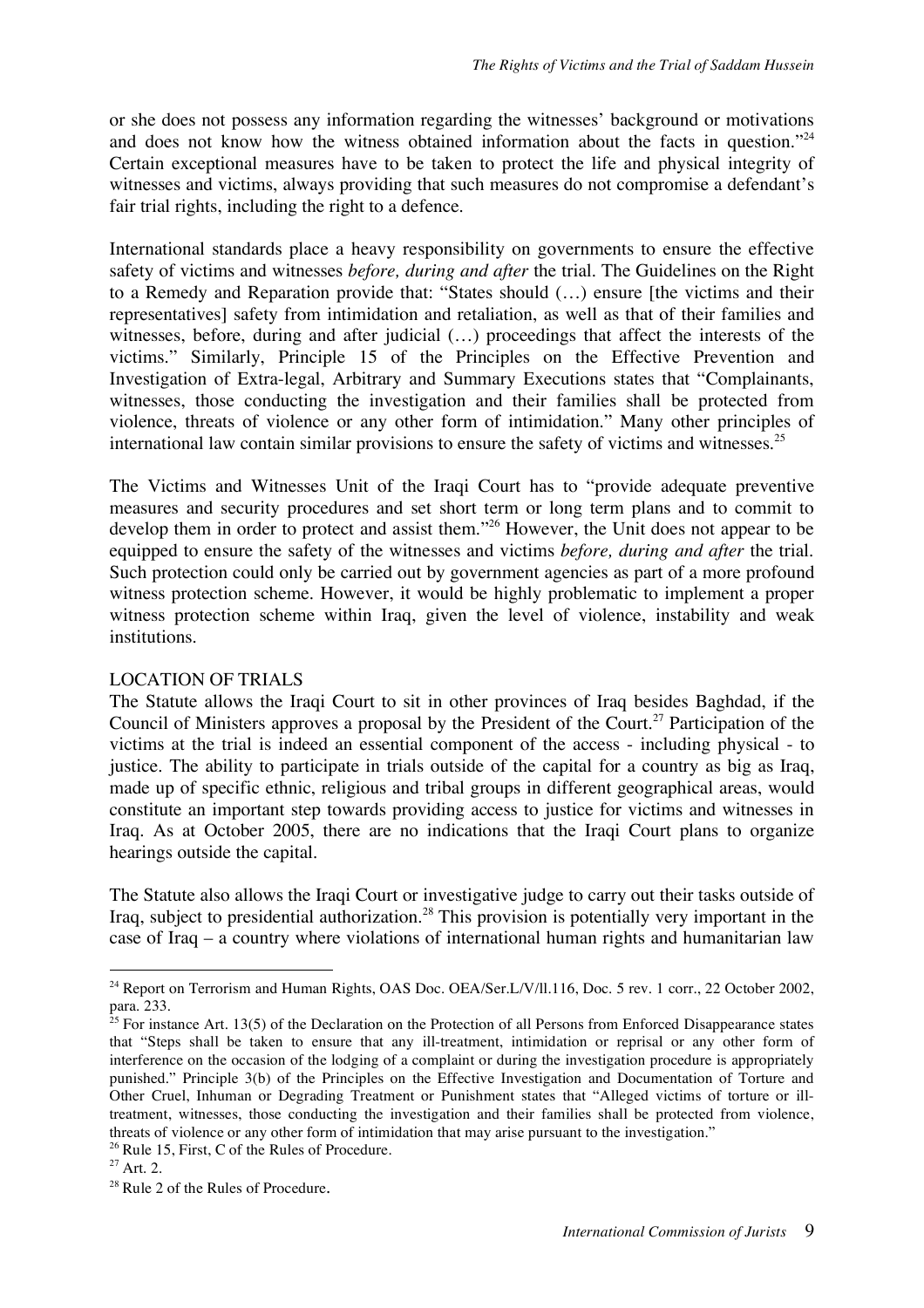or she does not possess any information regarding the witnesses' background or motivations and does not know how the witness obtained information about the facts in question."<sup>24</sup> Certain exceptional measures have to be taken to protect the life and physical integrity of witnesses and victims, always providing that such measures do not compromise a defendant's fair trial rights, including the right to a defence.

International standards place a heavy responsibility on governments to ensure the effective safety of victims and witnesses *before, during and after* the trial. The Guidelines on the Right to a Remedy and Reparation provide that: "States should (…) ensure [the victims and their representatives] safety from intimidation and retaliation, as well as that of their families and witnesses, before, during and after judicial  $(...)$  proceedings that affect the interests of the victims." Similarly, Principle 15 of the Principles on the Effective Prevention and Investigation of Extra-legal, Arbitrary and Summary Executions states that "Complainants, witnesses, those conducting the investigation and their families shall be protected from violence, threats of violence or any other form of intimidation." Many other principles of international law contain similar provisions to ensure the safety of victims and witnesses. 25

The Victims and Witnesses Unit of the Iraqi Court has to "provide adequate preventive measures and security procedures and set short term or long term plans and to commit to develop them in order to protect and assist them."<sup>26</sup> However, the Unit does not appear to be equipped to ensure the safety of the witnesses and victims *before, during and after* the trial. Such protection could only be carried out by government agencies as part of a more profound witness protection scheme. However, it would be highly problematic to implement a proper witness protection scheme within Iraq, given the level of violence, instability and weak institutions.

#### LOCATION OF TRIALS

The Statute allows the Iraqi Court to sit in other provinces of Iraq besides Baghdad, if the Council of Ministers approves a proposal by the President of the Court. <sup>27</sup> Participation of the victims at the trial is indeed an essential component of the access - including physical - to justice. The ability to participate in trials outside of the capital for a country as big as Iraq, made up of specific ethnic, religious and tribal groups in different geographical areas, would constitute an important step towards providing access to justice for victims and witnesses in Iraq. As at October 2005, there are no indications that the Iraqi Court plans to organize hearings outside the capital.

The Statute also allows the Iraqi Court or investigative judge to carry out their tasks outside of Iraq, subject to presidential authorization.<sup>28</sup> This provision is potentially very important in the case of Iraq – a country where violations of international human rights and humanitarian law

<sup>&</sup>lt;sup>24</sup> Report on Terrorism and Human Rights, OAS Doc. OEA/Ser.L/V/ll.116, Doc. 5 rev. 1 corr., 22 October 2002, para. 233.

<sup>&</sup>lt;sup>25</sup> For instance Art. 13(5) of the Declaration on the Protection of all Persons from Enforced Disappearance states that "Steps shall be taken to ensure that any ill-treatment, intimidation or reprisal or any other form of interference on the occasion of the lodging of a complaint or during the investigation procedure is appropriately punished." Principle 3(b) of the Principles on the Effective Investigation and Documentation of Torture and Other Cruel, Inhuman or Degrading Treatment or Punishment states that "Alleged victims of torture or illtreatment, witnesses, those conducting the investigation and their families shall be protected from violence, threats of violence or any other form of intimidation that may arise pursuant to the investigation."

<sup>&</sup>lt;sup>26</sup> Rule 15, First, C of the Rules of Procedure.

<sup>&</sup>lt;sup>27</sup> Art. 2.

<sup>&</sup>lt;sup>28</sup> Rule 2 of the Rules of Procedure.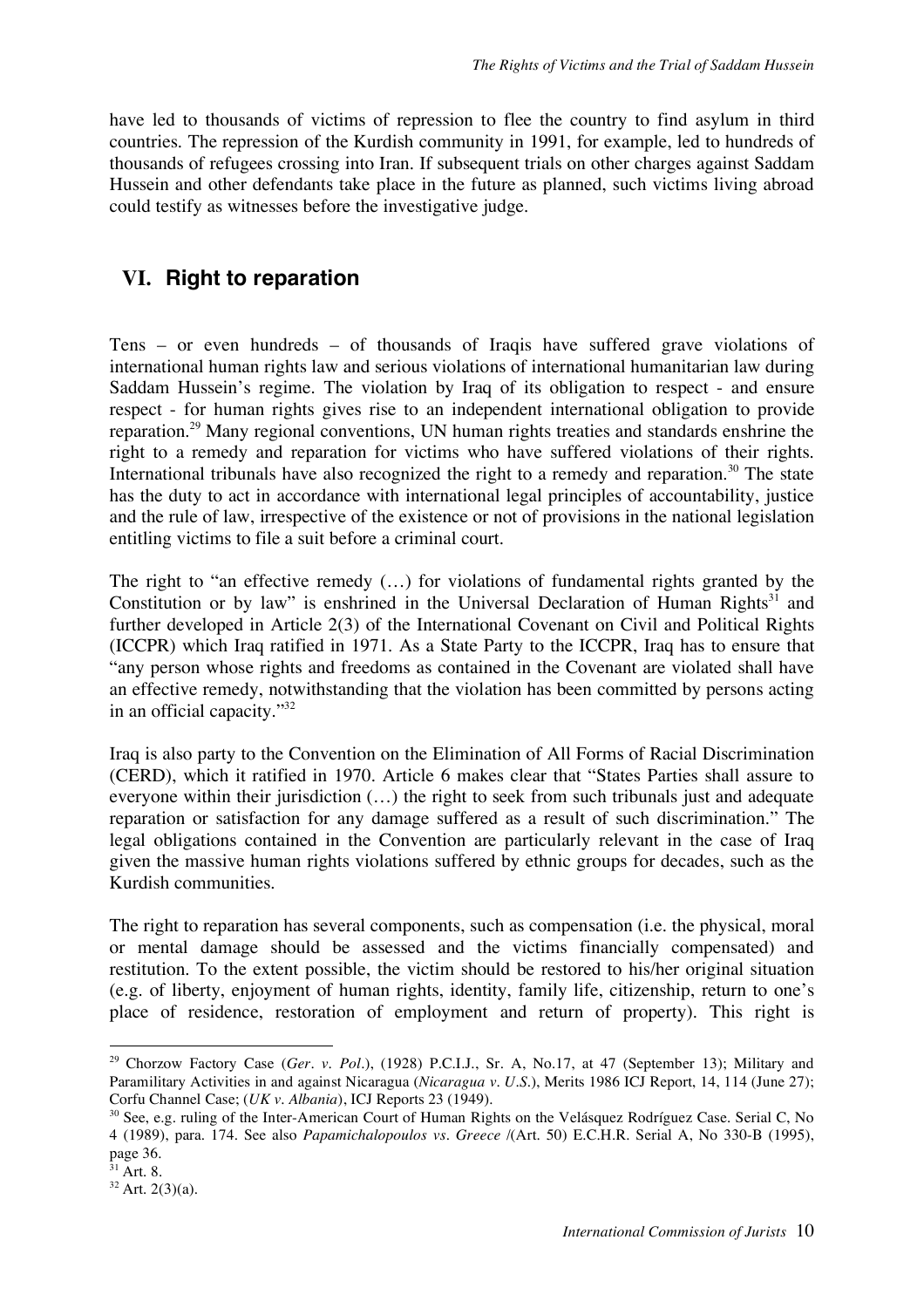have led to thousands of victims of repression to flee the country to find asylum in third countries. The repression of the Kurdish community in 1991, for example, led to hundreds of thousands of refugees crossing into Iran. If subsequent trials on other charges against Saddam Hussein and other defendants take place in the future as planned, such victims living abroad could testify as witnesses before the investigative judge.

## **VI. Right to reparation**

Tens – or even hundreds – of thousands of Iraqis have suffered grave violations of international human rights law and serious violations of international humanitarian law during Saddam Hussein's regime. The violation by Iraq of its obligation to respect - and ensure respect - for human rights gives rise to an independent international obligation to provide reparation.29 Many regional conventions, UN human rights treaties and standards enshrine the right to a remedy and reparation for victims who have suffered violations of their rights. International tribunals have also recognized the right to a remedy and reparation.<sup>30</sup> The state has the duty to act in accordance with international legal principles of accountability, justice and the rule of law, irrespective of the existence or not of provisions in the national legislation entitling victims to file a suit before a criminal court.

The right to "an effective remedy (…) for violations of fundamental rights granted by the Constitution or by law" is enshrined in the Universal Declaration of Human Rights<sup>31</sup> and further developed in Article 2(3) of the International Covenant on Civil and Political Rights (ICCPR) which Iraq ratified in 1971. As a State Party to the ICCPR, Iraq has to ensure that "any person whose rights and freedoms as contained in the Covenant are violated shall have an effective remedy, notwithstanding that the violation has been committed by persons acting in an official capacity." 32

Iraq is also party to the Convention on the Elimination of All Forms of Racial Discrimination (CERD), which it ratified in 1970. Article 6 makes clear that "States Parties shall assure to everyone within their jurisdiction (…) the right to seek from such tribunals just and adequate reparation or satisfaction for any damage suffered as a result of such discrimination." The legal obligations contained in the Convention are particularly relevant in the case of Iraq given the massive human rights violations suffered by ethnic groups for decades, such as the Kurdish communities.

The right to reparation has several components, such as compensation (i.e. the physical, moral or mental damage should be assessed and the victims financially compensated) and restitution. To the extent possible, the victim should be restored to his/her original situation (e.g. of liberty, enjoyment of human rights, identity, family life, citizenship, return to one's place of residence, restoration of employment and return of property). This right is

 <sup>29</sup> Chorzow Factory Case (*Ger. v. Pol*.), (1928) P.C.I.J., Sr. A, No.17, at <sup>47</sup> (September 13); Military and Paramilitary Activities in and against Nicaragua (*Nicaragua v. U.S*.), Merits 1986 ICJ Report, 14, 114 (June 27); Corfu Channel Case; (*UK v. Albania*), ICJ Reports 23 (1949).

<sup>&</sup>lt;sup>30</sup> See, e.g. ruling of the Inter-American Court of Human Rights on the Velásquez Rodríguez Case. Serial C, No 4 (1989), para. 174. See also *Papamichalopoulos vs. Greece* /(Art. 50) E.C.H.R. Serial A, No 330-B (1995), page 36.

 $31$  Art. 8.

 $32$  Art. 2(3)(a).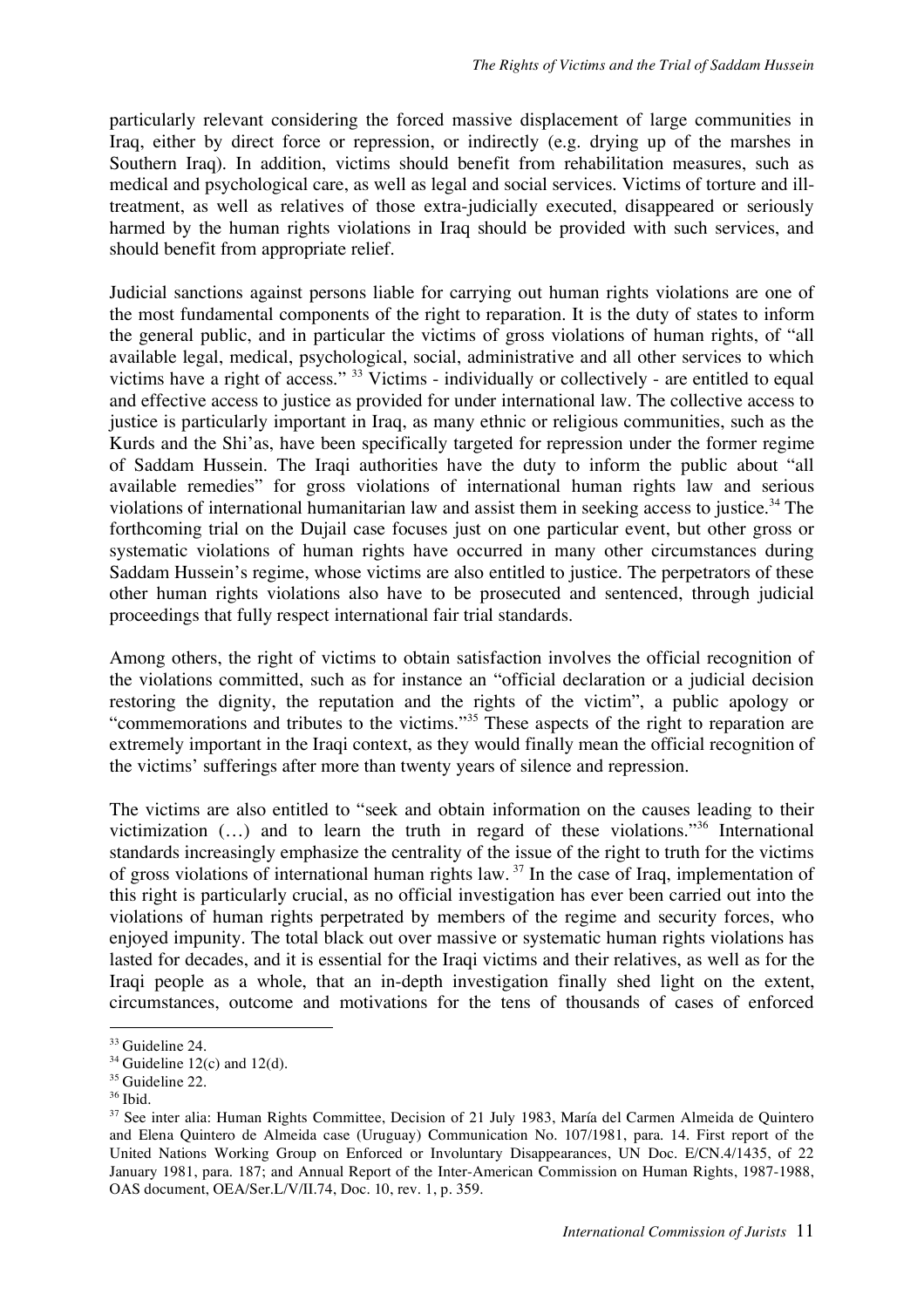particularly relevant considering the forced massive displacement of large communities in Iraq, either by direct force or repression, or indirectly (e.g. drying up of the marshes in Southern Iraq). In addition, victims should benefit from rehabilitation measures, such as medical and psychological care, as well as legal and social services. Victims of torture and illtreatment, as well as relatives of those extra-judicially executed, disappeared or seriously harmed by the human rights violations in Iraq should be provided with such services, and should benefit from appropriate relief.

Judicial sanctions against persons liable for carrying out human rights violations are one of the most fundamental components of the right to reparation. It is the duty of states to inform the general public, and in particular the victims of gross violations of human rights, of "all available legal, medical, psychological, social, administrative and all other services to which victims have a right of access." <sup>33</sup> Victims - individually or collectively - are entitled to equal and effective access to justice as provided for under international law. The collective access to justice is particularly important in Iraq, as many ethnic or religious communities, such as the Kurds and the Shi'as, have been specifically targeted for repression under the former regime of Saddam Hussein. The Iraqi authorities have the duty to inform the public about "all available remedies" for gross violations of international human rights law and serious violations of international humanitarian law and assist them in seeking access to justice. <sup>34</sup> The forthcoming trial on the Dujail case focuses just on one particular event, but other gross or systematic violations of human rights have occurred in many other circumstances during Saddam Hussein's regime, whose victims are also entitled to justice. The perpetrators of these other human rights violations also have to be prosecuted and sentenced, through judicial proceedings that fully respect international fair trial standards.

Among others, the right of victims to obtain satisfaction involves the official recognition of the violations committed, such as for instance an "official declaration or a judicial decision restoring the dignity, the reputation and the rights of the victim", a public apology or "commemorations and tributes to the victims."<sup>35</sup> These aspects of the right to reparation are extremely important in the Iraqi context, as they would finally mean the official recognition of the victims' sufferings after more than twenty years of silence and repression.

The victims are also entitled to "seek and obtain information on the causes leading to their victimization  $($ ...) and to learn the truth in regard of these violations.<sup>35</sup> International standards increasingly emphasize the centrality of the issue of the right to truth for the victims of gross violations of international human rights law.<sup>37</sup> In the case of Iraq, implementation of this right is particularly crucial, as no official investigation has ever been carried out into the violations of human rights perpetrated by members of the regime and security forces, who enjoyed impunity. The total black out over massive or systematic human rights violations has lasted for decades, and it is essential for the Iraqi victims and their relatives, as well as for the Iraqi people as a whole, that an in-depth investigation finally shed light on the extent, circumstances, outcome and motivations for the tens of thousands of cases of enforced

<sup>&</sup>lt;sup>33</sup> Guideline 24.

 $34$  Guideline 12(c) and 12(d).

 $35$  Guideline 22.

 $36$  Ibid.

<sup>37</sup> See inter alia: Human Rights Committee, Decision of 21 July 1983, María del Carmen Almeida de Quintero and Elena Quintero de Almeida case (Uruguay) Communication No. 107/1981, para. 14. First report of the United Nations Working Group on Enforced or Involuntary Disappearances, UN Doc. E/CN.4/1435, of 22 January 1981, para. 187; and Annual Report of the Inter-American Commission on Human Rights, 1987-1988, OAS document, OEA/Ser.L/V/II.74, Doc. 10, rev. 1, p. 359.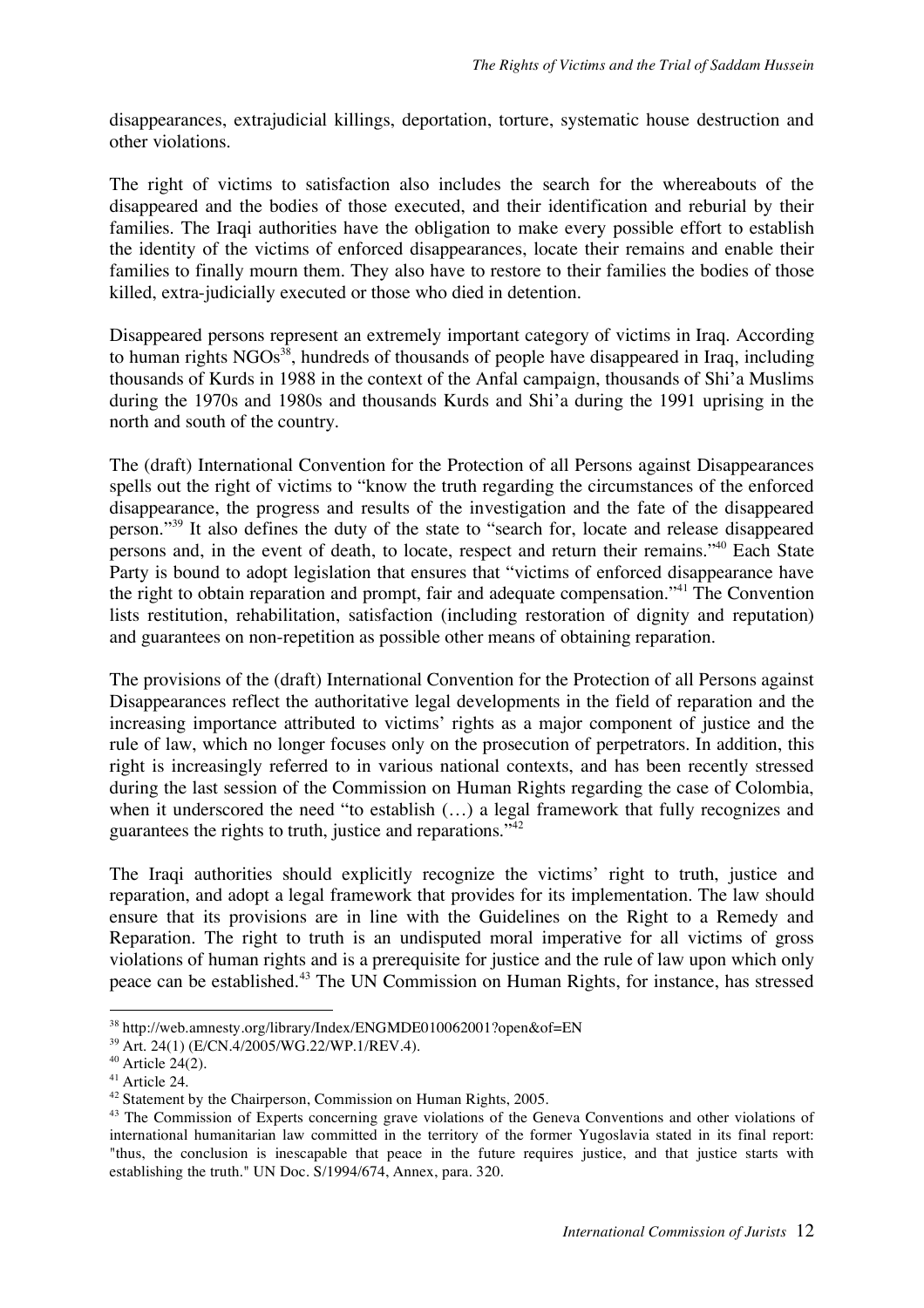disappearances, extrajudicial killings, deportation, torture, systematic house destruction and other violations.

The right of victims to satisfaction also includes the search for the whereabouts of the disappeared and the bodies of those executed, and their identification and reburial by their families. The Iraqi authorities have the obligation to make every possible effort to establish the identity of the victims of enforced disappearances, locate their remains and enable their families to finally mourn them. They also have to restore to their families the bodies of those killed, extra-judicially executed or those who died in detention.

Disappeared persons represent an extremely important category of victims in Iraq. According to human rights  $\rm NGOs^{38}$ , hundreds of thousands of people have disappeared in Iraq, including thousands of Kurds in 1988 in the context of the Anfal campaign, thousands of Shi'a Muslims during the 1970s and 1980s and thousands Kurds and Shi'a during the 1991 uprising in the north and south of the country.

The (draft) International Convention for the Protection of all Persons against Disappearances spells out the right of victims to "know the truth regarding the circumstances of the enforced disappearance, the progress and results of the investigation and the fate of the disappeared person."39 It also defines the duty of the state to "search for, locate and release disappeared persons and, in the event of death, to locate, respect and return their remains."40 Each State Party is bound to adopt legislation that ensures that "victims of enforced disappearance have the right to obtain reparation and prompt, fair and adequate compensation."41 The Convention lists restitution, rehabilitation, satisfaction (including restoration of dignity and reputation) and guarantees on non-repetition as possible other means of obtaining reparation.

The provisions of the (draft) International Convention for the Protection of all Persons against Disappearances reflect the authoritative legal developments in the field of reparation and the increasing importance attributed to victims' rights as a major component of justice and the rule of law, which no longer focuses only on the prosecution of perpetrators. In addition, this right is increasingly referred to in various national contexts, and has been recently stressed during the last session of the Commission on Human Rights regarding the case of Colombia, when it underscored the need "to establish (…) a legal framework that fully recognizes and guarantees the rights to truth, justice and reparations."42

The Iraqi authorities should explicitly recognize the victims' right to truth, justice and reparation, and adopt a legal framework that provides for its implementation. The law should ensure that its provisions are in line with the Guidelines on the Right to a Remedy and Reparation. The right to truth is an undisputed moral imperative for all victims of gross violations of human rights and is a prerequisite for justice and the rule of law upon which only peace can be established.<sup>43</sup> The UN Commission on Human Rights, for instance, has stressed

 <sup>38</sup> http://web.amnesty.org/library/Index/ENGMDE010062001?open&of=EN

<sup>&</sup>lt;sup>39</sup> Art. 24(1) (E/CN.4/2005/WG.22/WP.1/REV.4).

 $40$  Article 24(2).

<sup>41</sup> Article 24.

<sup>42</sup> Statement by the Chairperson, Commission on Human Rights, 2005.

<sup>&</sup>lt;sup>43</sup> The Commission of Experts concerning grave violations of the Geneva Conventions and other violations of international humanitarian law committed in the territory of the former Yugoslavia stated in its final report: "thus, the conclusion is inescapable that peace in the future requires justice, and that justice starts with establishing the truth." UN Doc. S/1994/674, Annex, para. 320.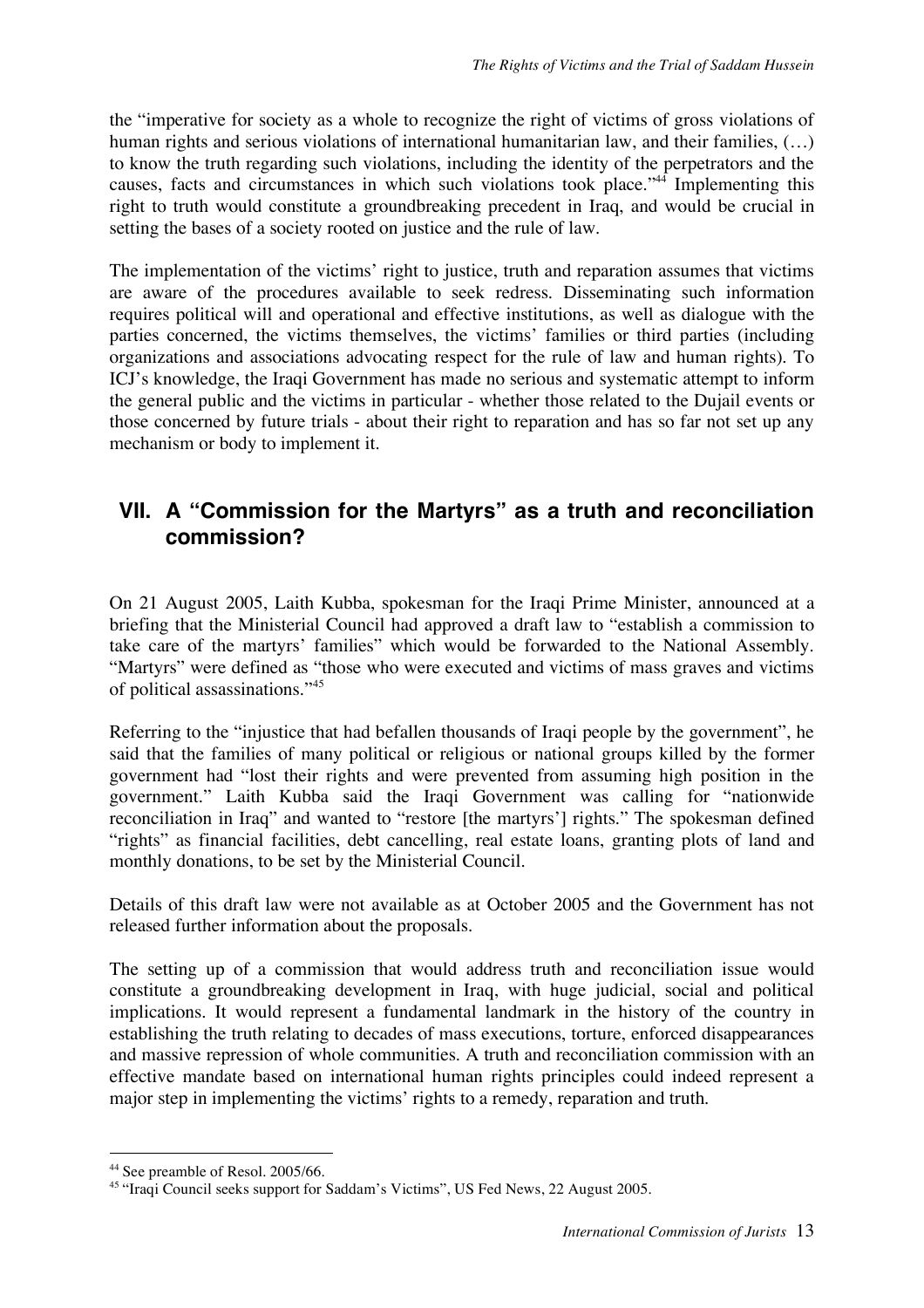the "imperative for society as a whole to recognize the right of victims of gross violations of human rights and serious violations of international humanitarian law, and their families,  $(...)$ to know the truth regarding such violations, including the identity of the perpetrators and the causes, facts and circumstances in which such violations took place." <sup>44</sup> Implementing this right to truth would constitute a groundbreaking precedent in Iraq, and would be crucial in setting the bases of a society rooted on justice and the rule of law.

The implementation of the victims' right to justice, truth and reparation assumes that victims are aware of the procedures available to seek redress. Disseminating such information requires political will and operational and effective institutions, as well as dialogue with the parties concerned, the victims themselves, the victims' families or third parties (including organizations and associations advocating respect for the rule of law and human rights). To ICJ's knowledge, the Iraqi Government has made no serious and systematic attempt to inform the general public and the victims in particular - whether those related to the Dujail events or those concerned by future trials - about their right to reparation and has so far not set up any mechanism or body to implement it.

## **VII. A "Commission for the Martyrs" as a truth and reconciliation commission?**

On 21 August 2005, Laith Kubba, spokesman for the Iraqi Prime Minister, announced at a briefing that the Ministerial Council had approved a draft law to "establish a commission to take care of the martyrs' families" which would be forwarded to the National Assembly. "Martyrs" were defined as "those who were executed and victims of mass graves and victims of political assassinations."<sup>45</sup>

Referring to the "injustice that had befallen thousands of Iraqi people by the government", he said that the families of many political or religious or national groups killed by the former government had "lost their rights and were prevented from assuming high position in the government." Laith Kubba said the Iraqi Government was calling for "nationwide reconciliation in Iraq" and wanted to "restore [the martyrs'] rights." The spokesman defined "rights" as financial facilities, debt cancelling, real estate loans, granting plots of land and monthly donations, to be set by the Ministerial Council.

Details of this draft law were not available as at October 2005 and the Government has not released further information about the proposals.

The setting up of a commission that would address truth and reconciliation issue would constitute a groundbreaking development in Iraq, with huge judicial, social and political implications. It would represent a fundamental landmark in the history of the country in establishing the truth relating to decades of mass executions, torture, enforced disappearances and massive repression of whole communities. A truth and reconciliation commission with an effective mandate based on international human rights principles could indeed represent a major step in implementing the victims' rights to a remedy, reparation and truth.

 <sup>44</sup> See preamble of Resol. 2005/66.

<sup>45</sup> "Iraqi Council seeks support for Saddam's Victims", US Fed News, 22 August 2005.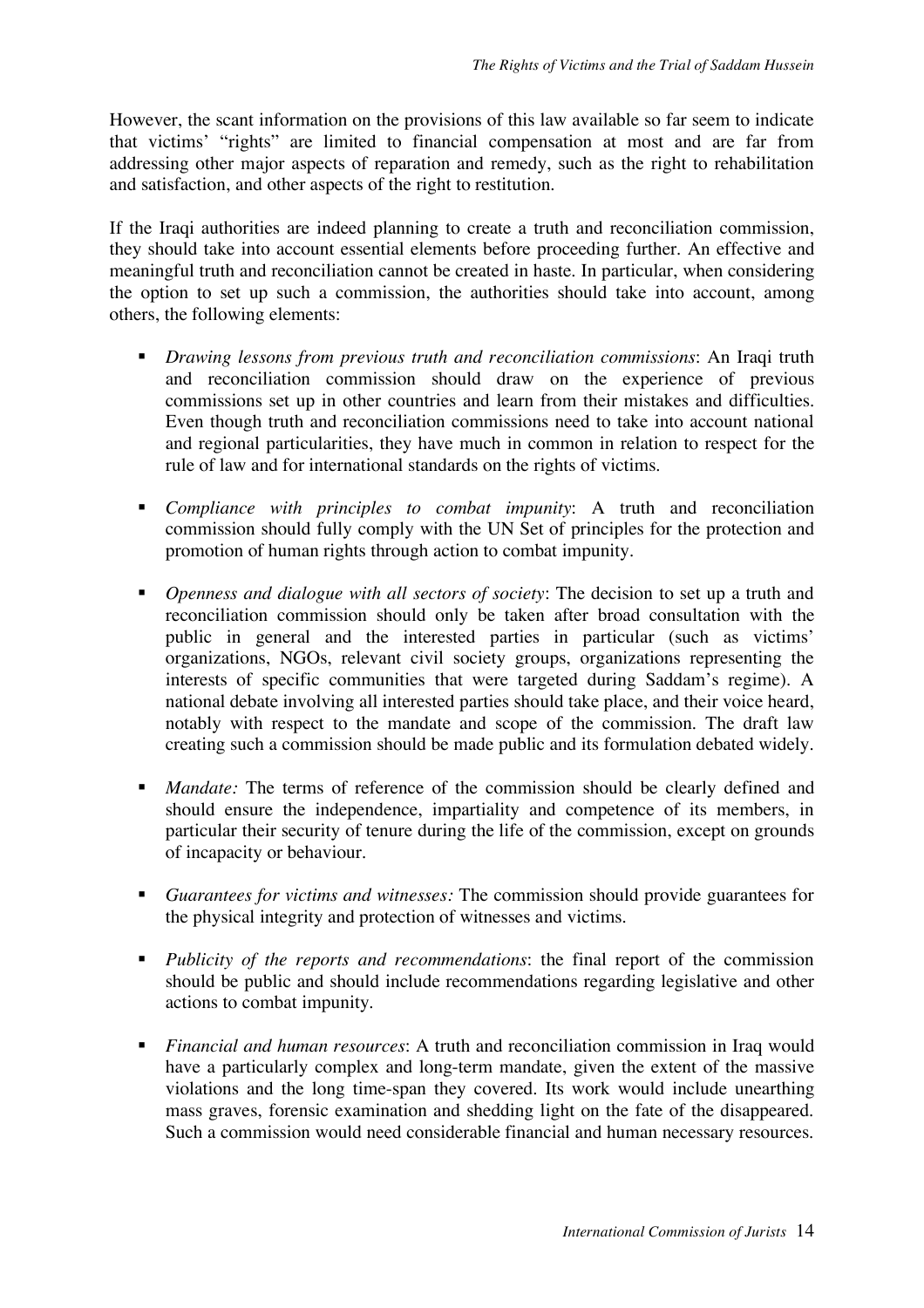However, the scant information on the provisions of this law available so far seem to indicate that victims' "rights" are limited to financial compensation at most and are far from addressing other major aspects of reparation and remedy, such as the right to rehabilitation and satisfaction, and other aspects of the right to restitution.

If the Iraqi authorities are indeed planning to create a truth and reconciliation commission, they should take into account essential elements before proceeding further. An effective and meaningful truth and reconciliation cannot be created in haste. In particular, when considering the option to set up such a commission, the authorities should take into account, among others, the following elements:

- *Drawing lessons from previous truth and reconciliation commissions*: An Iraqi truth and reconciliation commission should draw on the experience of previous commissions set up in other countries and learn from their mistakes and difficulties. Even though truth and reconciliation commissions need to take into account national and regional particularities, they have much in common in relation to respect for the rule of law and for international standards on the rights of victims.
- *Compliance with principles to combat impunity*: A truth and reconciliation commission should fully comply with the UN Set of principles for the protection and promotion of human rights through action to combat impunity.
- *Openness and dialogue with all sectors of society*: The decision to set up a truth and reconciliation commission should only be taken after broad consultation with the public in general and the interested parties in particular (such as victims' organizations, NGOs, relevant civil society groups, organizations representing the interests of specific communities that were targeted during Saddam's regime). A national debate involving all interested parties should take place, and their voice heard, notably with respect to the mandate and scope of the commission. The draft law creating such a commission should be made public and its formulation debated widely.
- *Mandate:* The terms of reference of the commission should be clearly defined and should ensure the independence, impartiality and competence of its members, in particular their security of tenure during the life of the commission, except on grounds of incapacity or behaviour.
- *Guarantees for victims and witnesses:* The commission should provide guarantees for the physical integrity and protection of witnesses and victims.
- *Publicity of the reports and recommendations*: the final report of the commission should be public and should include recommendations regarding legislative and other actions to combat impunity.
- *Financial and human resources*: A truth and reconciliation commission in Iraq would have a particularly complex and long-term mandate, given the extent of the massive violations and the long time-span they covered. Its work would include unearthing mass graves, forensic examination and shedding light on the fate of the disappeared. Such a commission would need considerable financial and human necessary resources.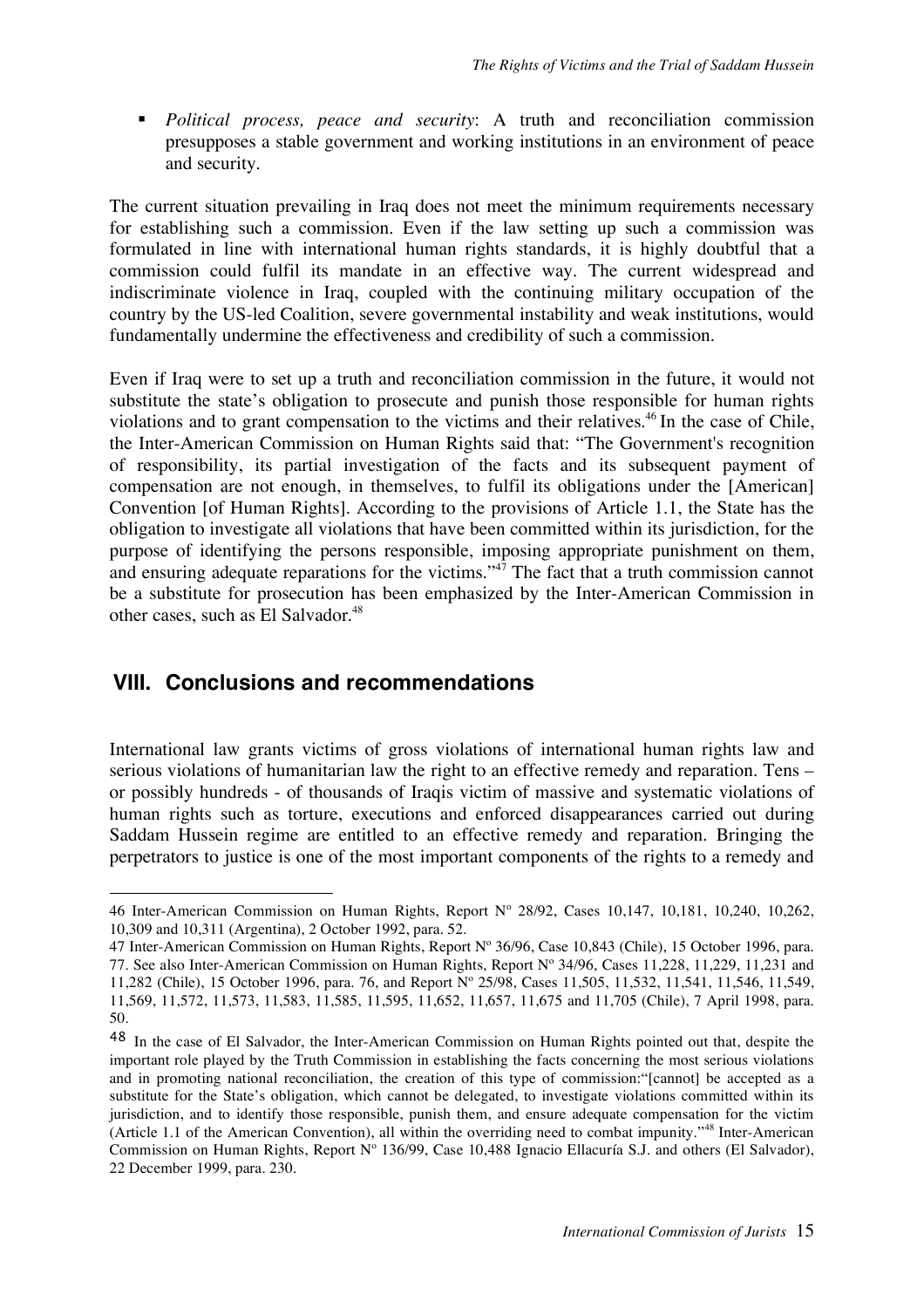*Political process, peace and security*: A truth and reconciliation commission presupposes a stable government and working institutions in an environment of peace and security.

The current situation prevailing in Iraq does not meet the minimum requirements necessary for establishing such a commission. Even if the law setting up such a commission was formulated in line with international human rights standards, it is highly doubtful that a commission could fulfil its mandate in an effective way. The current widespread and indiscriminate violence in Iraq, coupled with the continuing military occupation of the country by the US-led Coalition, severe governmental instability and weak institutions, would fundamentally undermine the effectiveness and credibility of such a commission.

Even if Iraq were to set up a truth and reconciliation commission in the future, it would not substitute the state's obligation to prosecute and punish those responsible for human rights violations and to grant compensation to the victims and their relatives. <sup>46</sup> In the case of Chile, the Inter-American Commission on Human Rights said that: "The Government's recognition of responsibility, its partial investigation of the facts and its subsequent payment of compensation are not enough, in themselves, to fulfil its obligations under the [American] Convention [of Human Rights]. According to the provisions of Article 1.1, the State has the obligation to investigate all violations that have been committed within its jurisdiction, for the purpose of identifying the persons responsible, imposing appropriate punishment on them, and ensuring adequate reparations for the victims." $\frac{1}{4}$  The fact that a truth commission cannot be a substitute for prosecution has been emphasized by the Inter-American Commission in other cases, such as El Salvador. 48

## **VIII. Conclusions and recommendations**

International law grants victims of gross violations of international human rights law and serious violations of humanitarian law the right to an effective remedy and reparation. Tens – or possibly hundreds - of thousands of Iraqis victim of massive and systematic violations of human rights such as torture, executions and enforced disappearances carried out during Saddam Hussein regime are entitled to an effective remedy and reparation. Bringing the perpetrators to justice is one of the most important components of the rights to a remedy and

 $\overline{a}$ 46 Inter-American Commission on Human Rights, Report Nº 28/92, Cases 10,147, 10,181, 10,240, 10,262, 10,309 and 10,311 (Argentina), 2 October 1992, para. 52.

<sup>47</sup> Inter-American Commission on Human Rights, Report Nº 36/96, Case 10,843 (Chile), 15 October 1996, para. 77. See also Inter-American Commission on Human Rights, Report Nº 34/96, Cases 11,228, 11,229, 11,231 and 11,282 (Chile), 15 October 1996, para. 76, and Report Nº 25/98, Cases 11,505, 11,532, 11,541, 11,546, 11,549, 11,569, 11,572, 11,573, 11,583, 11,585, 11,595, 11,652, 11,657, 11,675 and 11,705 (Chile), 7 April 1998, para. 50.

<sup>48</sup> In the case of El Salvador, the Inter-American Commission on Human Rights pointed out that, despite the important role played by the Truth Commission in establishing the facts concerning the most serious violations and in promoting national reconciliation, the creation of this type of commission:"[cannot] be accepted as a substitute for the State's obligation, which cannot be delegated, to investigate violations committed within its jurisdiction, and to identify those responsible, punish them, and ensure adequate compensation for the victim (Article 1.1 of the American Convention), all within the overriding need to combat impunity."<sup>48</sup> Inter-American Commission on Human Rights, Report Nº 136/99, Case 10,488 Ignacio Ellacuría S.J. and others (El Salvador), 22 December 1999, para. 230.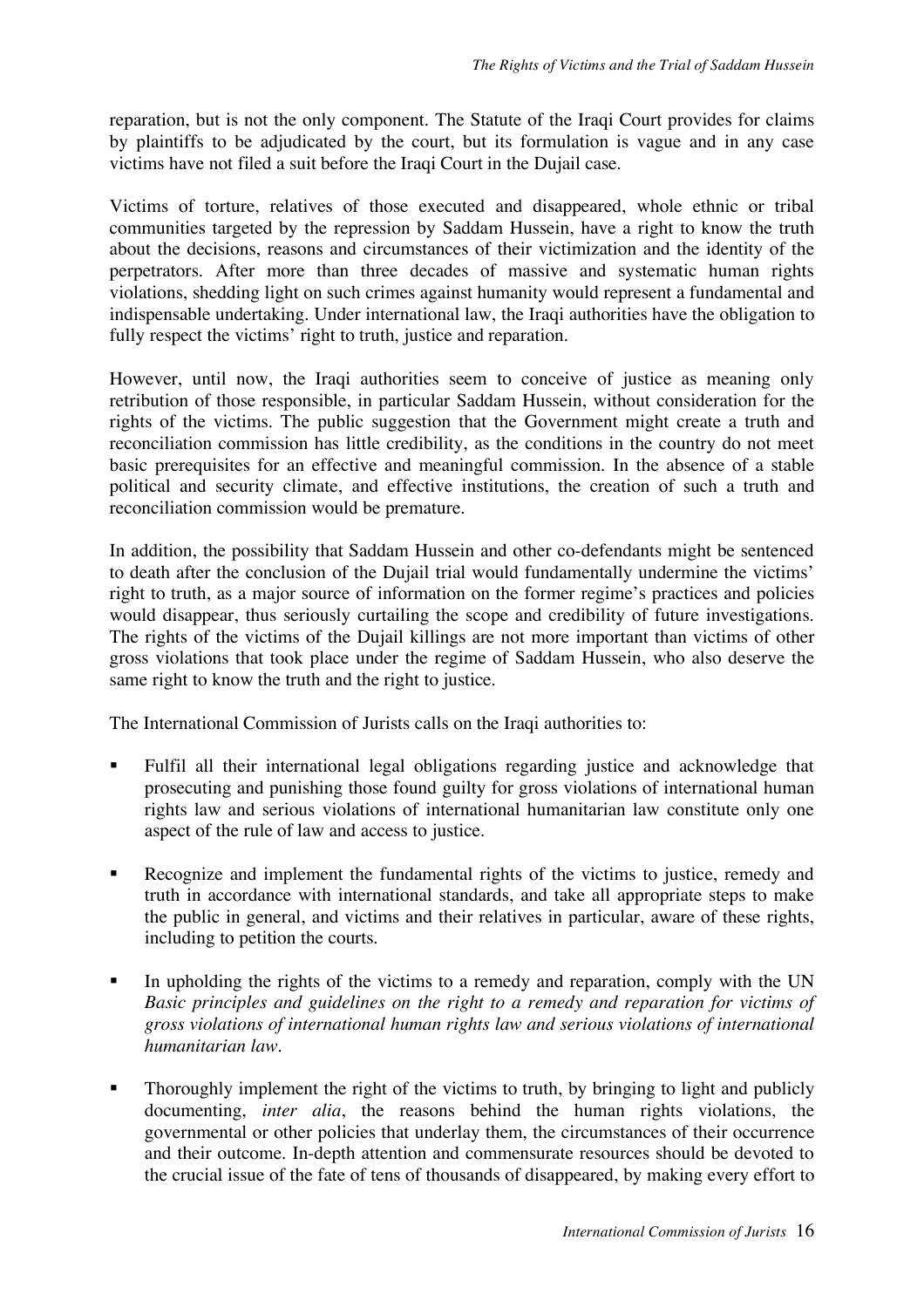reparation, but is not the only component. The Statute of the Iraqi Court provides for claims by plaintiffs to be adjudicated by the court, but its formulation is vague and in any case victims have not filed a suit before the Iraqi Court in the Dujail case.

Victims of torture, relatives of those executed and disappeared, whole ethnic or tribal communities targeted by the repression by Saddam Hussein, have a right to know the truth about the decisions, reasons and circumstances of their victimization and the identity of the perpetrators. After more than three decades of massive and systematic human rights violations, shedding light on such crimes against humanity would represent a fundamental and indispensable undertaking. Under international law, the Iraqi authorities have the obligation to fully respect the victims' right to truth, justice and reparation.

However, until now, the Iraqi authorities seem to conceive of justice as meaning only retribution of those responsible, in particular Saddam Hussein, without consideration for the rights of the victims. The public suggestion that the Government might create a truth and reconciliation commission has little credibility, as the conditions in the country do not meet basic prerequisites for an effective and meaningful commission. In the absence of a stable political and security climate, and effective institutions, the creation of such a truth and reconciliation commission would be premature.

In addition, the possibility that Saddam Hussein and other co-defendants might be sentenced to death after the conclusion of the Dujail trial would fundamentally undermine the victims' right to truth, as a major source of information on the former regime's practices and policies would disappear, thus seriously curtailing the scope and credibility of future investigations. The rights of the victims of the Dujail killings are not more important than victims of other gross violations that took place under the regime of Saddam Hussein, who also deserve the same right to know the truth and the right to justice.

The International Commission of Jurists calls on the Iraqi authorities to:

- Fulfil all their international legal obligations regarding justice and acknowledge that prosecuting and punishing those found guilty for gross violations of international human rights law and serious violations of international humanitarian law constitute only one aspect of the rule of law and access to justice.
- Recognize and implement the fundamental rights of the victims to justice, remedy and truth in accordance with international standards, and take all appropriate steps to make the public in general, and victims and their relatives in particular, aware of these rights, including to petition the courts.
- In upholding the rights of the victims to a remedy and reparation, comply with the UN *Basic principles and guidelines on the right to a remedy and reparation for victims of gross violations of international human rights law and serious violations of international humanitarian law.*
- Thoroughly implement the right of the victims to truth, by bringing to light and publicly documenting, *inter alia*, the reasons behind the human rights violations, the governmental or other policies that underlay them, the circumstances of their occurrence and their outcome. In-depth attention and commensurate resources should be devoted to the crucial issue of the fate of tens of thousands of disappeared, by making every effort to